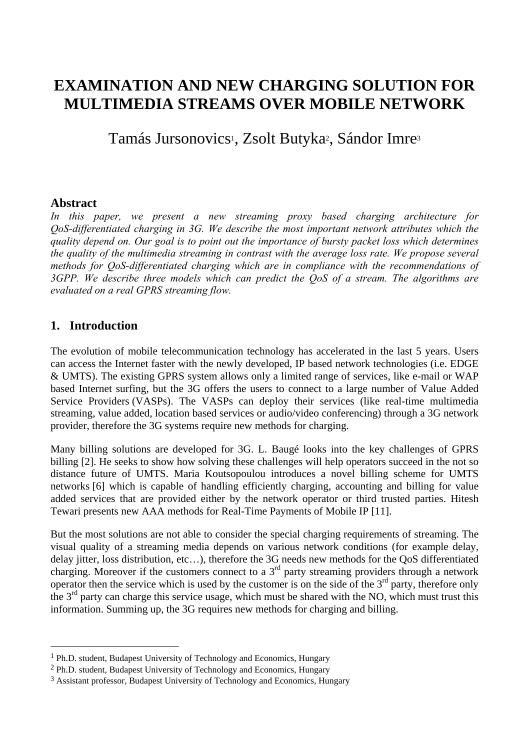# **EXAMINATION AND NEW CHARGING SOLUTION FOR MULTIMEDIA STREAMS OVER MOBILE NETWORK**

Tamás Jursonovics<sup>1</sup>, Zsolt Butyka<sup>2</sup>, Sándor Imre<sup>3</sup>

#### **Abstract**

In this paper, we present a new streaming proxy based charging architecture for *QoS-differentiated charging in 3G. We describe the most important network attributes which the quality depend on. Our goal is to point out the importance of bursty packet loss which determines the quality of the multimedia streaming in contrast with the average loss rate. We propose several methods for QoS-differentiated charging which are in compliance with the recommendations of 3GPP. We describe three models which can predict the QoS of a stream. The algorithms are evaluated on a real GPRS streaming flow.* 

#### **1. Introduction**

 $\overline{a}$ 

The evolution of mobile telecommunication technology has accelerated in the last 5 years. Users can access the Internet faster with the newly developed, IP based network technologies (i.e. EDGE & UMTS). The existing GPRS system allows only a limited range of services, like e-mail or WAP based Internet surfing, but the 3G offers the users to connect to a large number of Value Added Service Providers (VASPs). The VASPs can deploy their services (like real-time multimedia streaming, value added, location based services or audio/video conferencing) through a 3G network provider, therefore the 3G systems require new methods for charging.

Many billing solutions are developed for 3G. L. Baugé looks into the key challenges of GPRS billing [2]. He seeks to show how solving these challenges will help operators succeed in the not so distance future of UMTS. Maria Koutsopoulou introduces a novel billing scheme for UMTS networks [6] which is capable of handling efficiently charging, accounting and billing for value added services that are provided either by the network operator or third trusted parties. Hitesh Tewari presents new AAA methods for Real-Time Payments of Mobile IP [11].

But the most solutions are not able to consider the special charging requirements of streaming. The visual quality of a streaming media depends on various network conditions (for example delay, delay jitter, loss distribution, etc…), therefore the 3G needs new methods for the QoS differentiated charging. Moreover if the customers connect to a  $3<sup>rd</sup>$  party streaming providers through a network operator then the service which is used by the customer is on the side of the  $3<sup>rd</sup>$  party, therefore only the  $3<sup>rd</sup>$  party can charge this service usage, which must be shared with the NO, which must trust this information. Summing up, the 3G requires new methods for charging and billing.

<sup>1</sup> Ph.D. student, Budapest University of Technology and Economics, Hungary

<sup>2</sup> Ph.D. student, Budapest University of Technology and Economics, Hungary

<sup>3</sup> Assistant professor, Budapest University of Technology and Economics, Hungary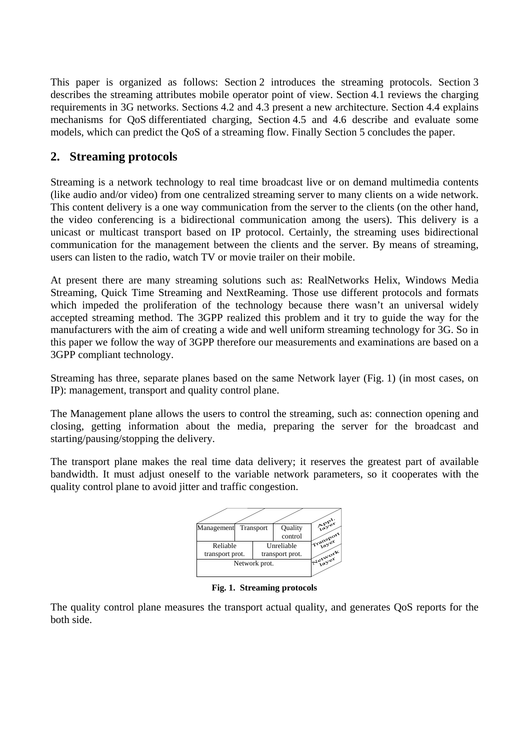This paper is organized as follows: Section 2 introduces the streaming protocols. Section 3 describes the streaming attributes mobile operator point of view. Section 4.1 reviews the charging requirements in 3G networks. Sections 4.2 and 4.3 present a new architecture. Section 4.4 explains mechanisms for QoS differentiated charging, Section 4.5 and 4.6 describe and evaluate some models, which can predict the QoS of a streaming flow. Finally Section 5 concludes the paper.

## **2. Streaming protocols**

Streaming is a network technology to real time broadcast live or on demand multimedia contents (like audio and/or video) from one centralized streaming server to many clients on a wide network. This content delivery is a one way communication from the server to the clients (on the other hand, the video conferencing is a bidirectional communication among the users). This delivery is a unicast or multicast transport based on IP protocol. Certainly, the streaming uses bidirectional communication for the management between the clients and the server. By means of streaming, users can listen to the radio, watch TV or movie trailer on their mobile.

At present there are many streaming solutions such as: RealNetworks Helix, Windows Media Streaming, Quick Time Streaming and NextReaming. Those use different protocols and formats which impeded the proliferation of the technology because there wasn't an universal widely accepted streaming method. The 3GPP realized this problem and it try to guide the way for the manufacturers with the aim of creating a wide and well uniform streaming technology for 3G. So in this paper we follow the way of 3GPP therefore our measurements and examinations are based on a 3GPP compliant technology.

Streaming has three, separate planes based on the same Network layer (Fig. 1) (in most cases, on IP): management, transport and quality control plane.

The Management plane allows the users to control the streaming, such as: connection opening and closing, getting information about the media, preparing the server for the broadcast and starting/pausing/stopping the delivery.

The transport plane makes the real time data delivery; it reserves the greatest part of available bandwidth. It must adjust oneself to the variable network parameters, so it cooperates with the quality control plane to avoid jitter and traffic congestion.



**Fig. 1. Streaming protocols** 

The quality control plane measures the transport actual quality, and generates QoS reports for the both side.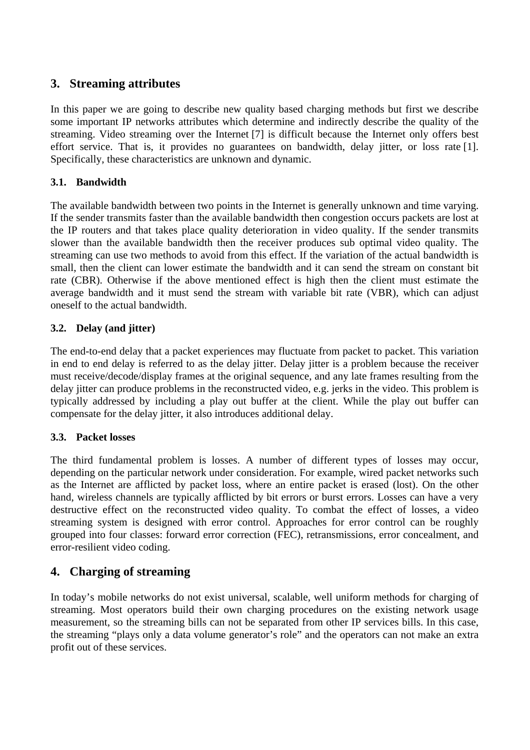## **3. Streaming attributes**

In this paper we are going to describe new quality based charging methods but first we describe some important IP networks attributes which determine and indirectly describe the quality of the streaming. Video streaming over the Internet [7] is difficult because the Internet only offers best effort service. That is, it provides no guarantees on bandwidth, delay jitter, or loss rate [1]. Specifically, these characteristics are unknown and dynamic.

## **3.1. Bandwidth**

The available bandwidth between two points in the Internet is generally unknown and time varying. If the sender transmits faster than the available bandwidth then congestion occurs packets are lost at the IP routers and that takes place quality deterioration in video quality. If the sender transmits slower than the available bandwidth then the receiver produces sub optimal video quality. The streaming can use two methods to avoid from this effect. If the variation of the actual bandwidth is small, then the client can lower estimate the bandwidth and it can send the stream on constant bit rate (CBR). Otherwise if the above mentioned effect is high then the client must estimate the average bandwidth and it must send the stream with variable bit rate (VBR), which can adjust oneself to the actual bandwidth.

## **3.2. Delay (and jitter)**

The end-to-end delay that a packet experiences may fluctuate from packet to packet. This variation in end to end delay is referred to as the delay jitter. Delay jitter is a problem because the receiver must receive/decode/display frames at the original sequence, and any late frames resulting from the delay jitter can produce problems in the reconstructed video, e.g. jerks in the video. This problem is typically addressed by including a play out buffer at the client. While the play out buffer can compensate for the delay jitter, it also introduces additional delay.

## **3.3. Packet losses**

The third fundamental problem is losses. A number of different types of losses may occur, depending on the particular network under consideration. For example, wired packet networks such as the Internet are afflicted by packet loss, where an entire packet is erased (lost). On the other hand, wireless channels are typically afflicted by bit errors or burst errors. Losses can have a very destructive effect on the reconstructed video quality. To combat the effect of losses, a video streaming system is designed with error control. Approaches for error control can be roughly grouped into four classes: forward error correction (FEC), retransmissions, error concealment, and error-resilient video coding.

## **4. Charging of streaming**

In today's mobile networks do not exist universal, scalable, well uniform methods for charging of streaming. Most operators build their own charging procedures on the existing network usage measurement, so the streaming bills can not be separated from other IP services bills. In this case, the streaming "plays only a data volume generator's role" and the operators can not make an extra profit out of these services.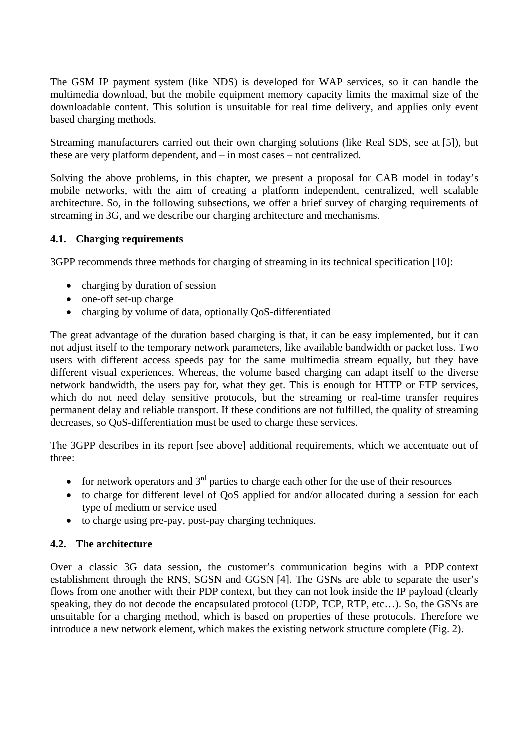The GSM IP payment system (like NDS) is developed for WAP services, so it can handle the multimedia download, but the mobile equipment memory capacity limits the maximal size of the downloadable content. This solution is unsuitable for real time delivery, and applies only event based charging methods.

Streaming manufacturers carried out their own charging solutions (like Real SDS, see at [5]), but these are very platform dependent, and – in most cases – not centralized.

Solving the above problems, in this chapter, we present a proposal for CAB model in today's mobile networks, with the aim of creating a platform independent, centralized, well scalable architecture. So, in the following subsections, we offer a brief survey of charging requirements of streaming in 3G, and we describe our charging architecture and mechanisms.

#### **4.1. Charging requirements**

3GPP recommends three methods for charging of streaming in its technical specification [10]:

- charging by duration of session
- one-off set-up charge
- charging by volume of data, optionally OoS-differentiated

The great advantage of the duration based charging is that, it can be easy implemented, but it can not adjust itself to the temporary network parameters, like available bandwidth or packet loss. Two users with different access speeds pay for the same multimedia stream equally, but they have different visual experiences. Whereas, the volume based charging can adapt itself to the diverse network bandwidth, the users pay for, what they get. This is enough for HTTP or FTP services, which do not need delay sensitive protocols, but the streaming or real-time transfer requires permanent delay and reliable transport. If these conditions are not fulfilled, the quality of streaming decreases, so QoS-differentiation must be used to charge these services.

The 3GPP describes in its report [see above] additional requirements, which we accentuate out of three:

- for network operators and  $3<sup>rd</sup>$  parties to charge each other for the use of their resources
- to charge for different level of QoS applied for and/or allocated during a session for each type of medium or service used
- to charge using pre-pay, post-pay charging techniques.

#### **4.2. The architecture**

Over a classic 3G data session, the customer's communication begins with a PDP context establishment through the RNS, SGSN and GGSN [4]. The GSNs are able to separate the user's flows from one another with their PDP context, but they can not look inside the IP payload (clearly speaking, they do not decode the encapsulated protocol (UDP, TCP, RTP, etc…). So, the GSNs are unsuitable for a charging method, which is based on properties of these protocols. Therefore we introduce a new network element, which makes the existing network structure complete (Fig. 2).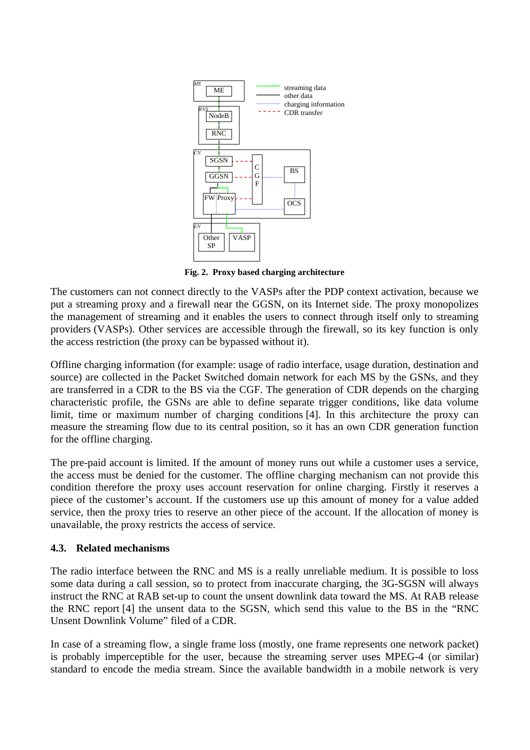

**Fig. 2. Proxy based charging architecture** 

The customers can not connect directly to the VASPs after the PDP context activation, because we put a streaming proxy and a firewall near the GGSN, on its Internet side. The proxy monopolizes the management of streaming and it enables the users to connect through itself only to streaming providers (VASPs). Other services are accessible through the firewall, so its key function is only the access restriction (the proxy can be bypassed without it).

Offline charging information (for example: usage of radio interface, usage duration, destination and source) are collected in the Packet Switched domain network for each MS by the GSNs, and they are transferred in a CDR to the BS via the CGF. The generation of CDR depends on the charging characteristic profile, the GSNs are able to define separate trigger conditions, like data volume limit, time or maximum number of charging conditions [4]. In this architecture the proxy can measure the streaming flow due to its central position, so it has an own CDR generation function for the offline charging.

The pre-paid account is limited. If the amount of money runs out while a customer uses a service, the access must be denied for the customer. The offline charging mechanism can not provide this condition therefore the proxy uses account reservation for online charging. Firstly it reserves a piece of the customer's account. If the customers use up this amount of money for a value added service, then the proxy tries to reserve an other piece of the account. If the allocation of money is unavailable, the proxy restricts the access of service.

#### **4.3. Related mechanisms**

The radio interface between the RNC and MS is a really unreliable medium. It is possible to loss some data during a call session, so to protect from inaccurate charging, the 3G-SGSN will always instruct the RNC at RAB set-up to count the unsent downlink data toward the MS. At RAB release the RNC report [4] the unsent data to the SGSN, which send this value to the BS in the "RNC Unsent Downlink Volume" filed of a CDR.

In case of a streaming flow, a single frame loss (mostly, one frame represents one network packet) is probably imperceptible for the user, because the streaming server uses MPEG-4 (or similar) standard to encode the media stream. Since the available bandwidth in a mobile network is very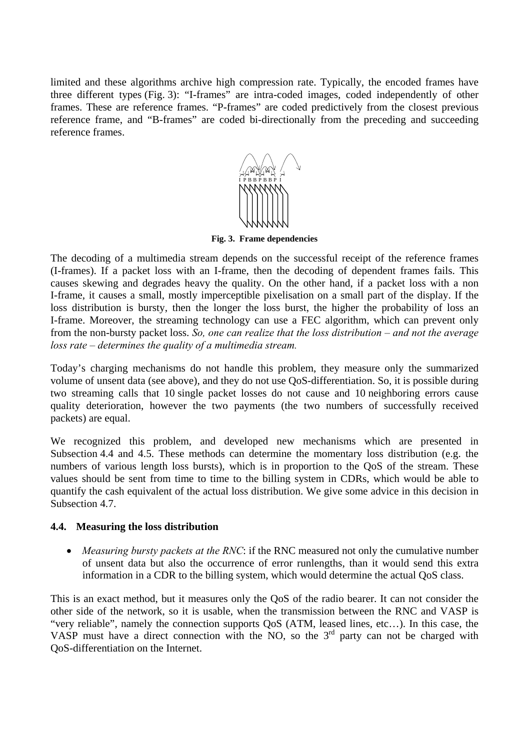limited and these algorithms archive high compression rate. Typically, the encoded frames have three different types (Fig. 3): "I-frames" are intra-coded images, coded independently of other frames. These are reference frames. "P-frames" are coded predictively from the closest previous reference frame, and "B-frames" are coded bi-directionally from the preceding and succeeding reference frames.



**Fig. 3. Frame dependencies** 

The decoding of a multimedia stream depends on the successful receipt of the reference frames (I-frames). If a packet loss with an I-frame, then the decoding of dependent frames fails. This causes skewing and degrades heavy the quality. On the other hand, if a packet loss with a non I-frame, it causes a small, mostly imperceptible pixelisation on a small part of the display. If the loss distribution is bursty, then the longer the loss burst, the higher the probability of loss an I-frame. Moreover, the streaming technology can use a FEC algorithm, which can prevent only from the non-bursty packet loss. *So, one can realize that the loss distribution – and not the average loss rate – determines the quality of a multimedia stream.*

Today's charging mechanisms do not handle this problem, they measure only the summarized volume of unsent data (see above), and they do not use QoS-differentiation. So, it is possible during two streaming calls that 10 single packet losses do not cause and 10 neighboring errors cause quality deterioration, however the two payments (the two numbers of successfully received packets) are equal.

We recognized this problem, and developed new mechanisms which are presented in Subsection 4.4 and 4.5. These methods can determine the momentary loss distribution (e.g. the numbers of various length loss bursts), which is in proportion to the QoS of the stream. These values should be sent from time to time to the billing system in CDRs, which would be able to quantify the cash equivalent of the actual loss distribution. We give some advice in this decision in Subsection 4.7.

#### **4.4. Measuring the loss distribution**

• *Measuring bursty packets at the RNC*: if the RNC measured not only the cumulative number of unsent data but also the occurrence of error runlengths, than it would send this extra information in a CDR to the billing system, which would determine the actual QoS class.

This is an exact method, but it measures only the QoS of the radio bearer. It can not consider the other side of the network, so it is usable, when the transmission between the RNC and VASP is "very reliable", namely the connection supports QoS (ATM, leased lines, etc…). In this case, the VASP must have a direct connection with the NO, so the  $3<sup>rd</sup>$  party can not be charged with QoS-differentiation on the Internet.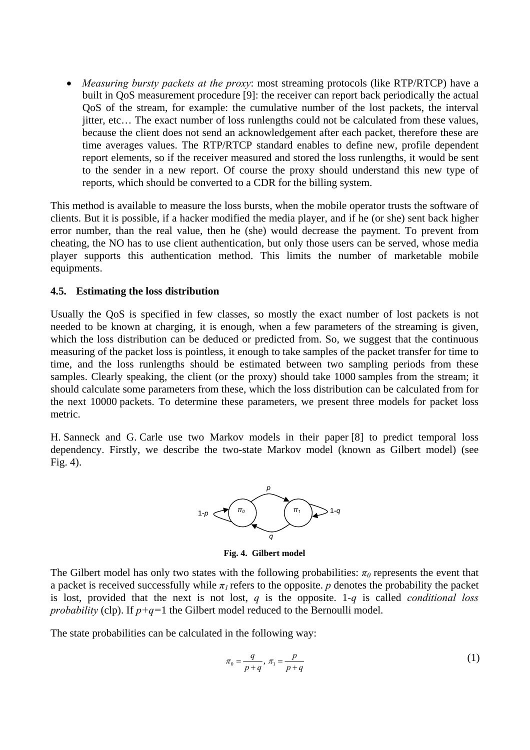• *Measuring bursty packets at the proxy*: most streaming protocols (like RTP/RTCP) have a built in QoS measurement procedure [9]: the receiver can report back periodically the actual QoS of the stream, for example: the cumulative number of the lost packets, the interval jitter, etc… The exact number of loss runlengths could not be calculated from these values, because the client does not send an acknowledgement after each packet, therefore these are time averages values. The RTP/RTCP standard enables to define new, profile dependent report elements, so if the receiver measured and stored the loss runlengths, it would be sent to the sender in a new report. Of course the proxy should understand this new type of reports, which should be converted to a CDR for the billing system.

This method is available to measure the loss bursts, when the mobile operator trusts the software of clients. But it is possible, if a hacker modified the media player, and if he (or she) sent back higher error number, than the real value, then he (she) would decrease the payment. To prevent from cheating, the NO has to use client authentication, but only those users can be served, whose media player supports this authentication method. This limits the number of marketable mobile equipments.

#### **4.5. Estimating the loss distribution**

Usually the QoS is specified in few classes, so mostly the exact number of lost packets is not needed to be known at charging, it is enough, when a few parameters of the streaming is given, which the loss distribution can be deduced or predicted from. So, we suggest that the continuous measuring of the packet loss is pointless, it enough to take samples of the packet transfer for time to time, and the loss runlengths should be estimated between two sampling periods from these samples. Clearly speaking, the client (or the proxy) should take 1000 samples from the stream; it should calculate some parameters from these, which the loss distribution can be calculated from for the next 10000 packets. To determine these parameters, we present three models for packet loss metric.

H. Sanneck and G. Carle use two Markov models in their paper [8] to predict temporal loss dependency. Firstly, we describe the two-state Markov model (known as Gilbert model) (see Fig. 4).



**Fig. 4. Gilbert model** 

The Gilbert model has only two states with the following probabilities:  $\pi_0$  represents the event that a packet is received successfully while  $\pi_l$  refers to the opposite. *p* denotes the probability the packet is lost, provided that the next is not lost, *q* is the opposite. 1*-q* is called *conditional loss probability* (clp). If *p+q=*1 the Gilbert model reduced to the Bernoulli model.

The state probabilities can be calculated in the following way:

$$
\pi_0 = \frac{q}{p+q}, \quad \pi_1 = \frac{p}{p+q} \tag{1}
$$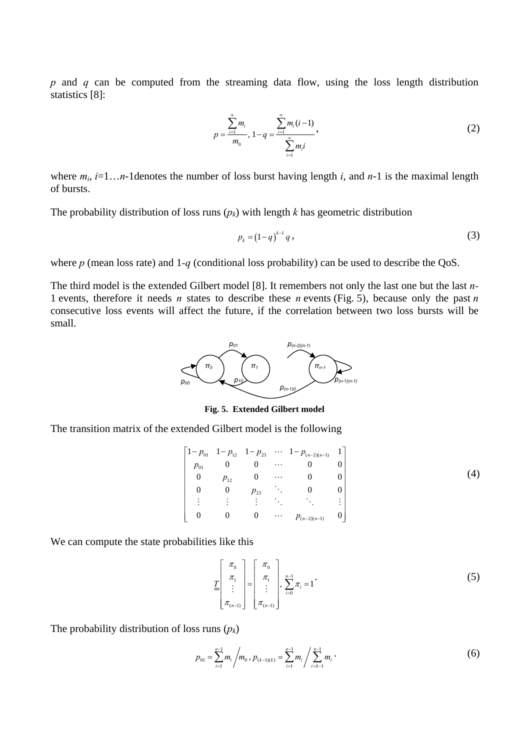*p* and *q* can be computed from the streaming data flow, using the loss length distribution statistics [8]:

$$
p = \frac{\sum_{i=1}^{\infty} m_i}{m_0}, 1 - q = \frac{\sum_{i=1}^{\infty} m_i (i-1)}{\sum_{i=1}^{\infty} m_i i},
$$
 (2)

where  $m_i$ ,  $i=1...n-1$  denotes the number of loss burst having length *i*, and  $n-1$  is the maximal length of bursts.

The probability distribution of loss runs  $(p_k)$  with length *k* has geometric distribution

$$
p_k = (1 - q)^{k-1} q,
$$
 (3)

where *p* (mean loss rate) and 1-*q* (conditional loss probability) can be used to describe the QoS.

The third model is the extended Gilbert model [8]. It remembers not only the last one but the last *n-*1 events, therefore it needs *n* states to describe these *n* events (Fig. 5), because only the past *n* consecutive loss events will affect the future, if the correlation between two loss bursts will be small.



**Fig. 5. Extended Gilbert model** 

The transition matrix of the extended Gilbert model is the following

$$
\begin{bmatrix}\n1-p_{01} & 1-p_{12} & 1-p_{23} & \cdots & 1-p_{(n-2)(n-1)} & 1 \\
p_{01} & 0 & 0 & \cdots & 0 & 0 \\
0 & p_{12} & 0 & \cdots & 0 & 0 \\
0 & 0 & p_{23} & \cdots & 0 & 0 \\
\vdots & \vdots & \vdots & \ddots & \ddots & \vdots \\
0 & 0 & 0 & \cdots & p_{(n-2)(n-1)} & 0\n\end{bmatrix}
$$
\n(4)

We can compute the state probabilities like this

$$
\underline{\underline{T}}\left[\begin{array}{c} \pi_0 \\ \pi_1 \\ \vdots \\ \pi_{(n-1)} \end{array}\right] = \begin{bmatrix} \pi_0 \\ \pi_1 \\ \vdots \\ \pi_{(n-1)} \end{bmatrix}, \sum_{i=0}^{n-1} \pi_i = 1
$$
\n(5)

The probability distribution of loss runs (*pk*)

$$
p_{01} = \sum_{i=1}^{n-1} m_i / m_0, p_{(k-1)(k)} = \sum_{i=1}^{n-1} m_i / \sum_{i=k-1}^{n-1} m_i.
$$
 (6)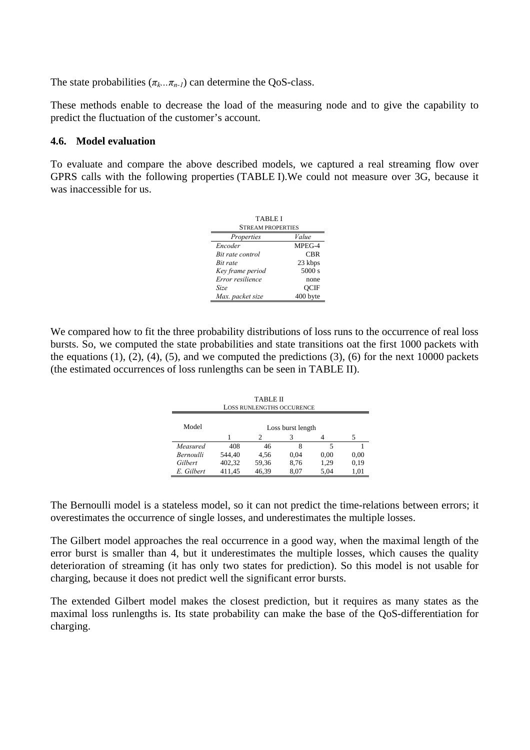The state probabilities  $(\pi_k...\pi_{n-1})$  can determine the QoS-class.

These methods enable to decrease the load of the measuring node and to give the capability to predict the fluctuation of the customer's account.

#### **4.6. Model evaluation**

To evaluate and compare the above described models, we captured a real streaming flow over GPRS calls with the following properties (TABLE I).We could not measure over 3G, because it was inaccessible for us.

| TABLE I<br><b>STREAM PROPERTIES</b> |             |  |  |  |
|-------------------------------------|-------------|--|--|--|
| Properties                          | Value       |  |  |  |
| Encoder                             | MPEG-4      |  |  |  |
| Bit rate control                    | CBR         |  |  |  |
| Bit rate                            | 23 kbps     |  |  |  |
| Key frame period                    | 5000 s      |  |  |  |
| Error resilience                    | none        |  |  |  |
| Size                                | <b>OCIF</b> |  |  |  |
| Max. packet size                    | 400 byte    |  |  |  |

We compared how to fit the three probability distributions of loss runs to the occurrence of real loss bursts. So, we computed the state probabilities and state transitions oat the first 1000 packets with the equations  $(1)$ ,  $(2)$ ,  $(4)$ ,  $(5)$ , and we computed the predictions  $(3)$ ,  $(6)$  for the next 10000 packets (the estimated occurrences of loss runlengths can be seen in TABLE II).

| TABLE II<br><b>LOSS RUNLENGTHS OCCURENCE</b> |                   |       |      |      |      |  |
|----------------------------------------------|-------------------|-------|------|------|------|--|
| Model                                        | Loss burst length |       |      |      |      |  |
|                                              |                   | 2     | 3    |      |      |  |
| Measured                                     | 408               | 46    | 8    | 5    |      |  |
| <b>Bernoulli</b>                             | 544.40            | 4,56  | 0.04 | 0.00 | 0.00 |  |
| Gilbert                                      | 402,32            | 59,36 | 8,76 | 1,29 | 0.19 |  |
| E. Gilbert                                   | 411.45            | 46.39 | 8.07 | 5,04 | 1,01 |  |

The Bernoulli model is a stateless model, so it can not predict the time-relations between errors; it overestimates the occurrence of single losses, and underestimates the multiple losses.

The Gilbert model approaches the real occurrence in a good way, when the maximal length of the error burst is smaller than 4, but it underestimates the multiple losses, which causes the quality deterioration of streaming (it has only two states for prediction). So this model is not usable for charging, because it does not predict well the significant error bursts.

The extended Gilbert model makes the closest prediction, but it requires as many states as the maximal loss runlengths is. Its state probability can make the base of the QoS-differentiation for charging.